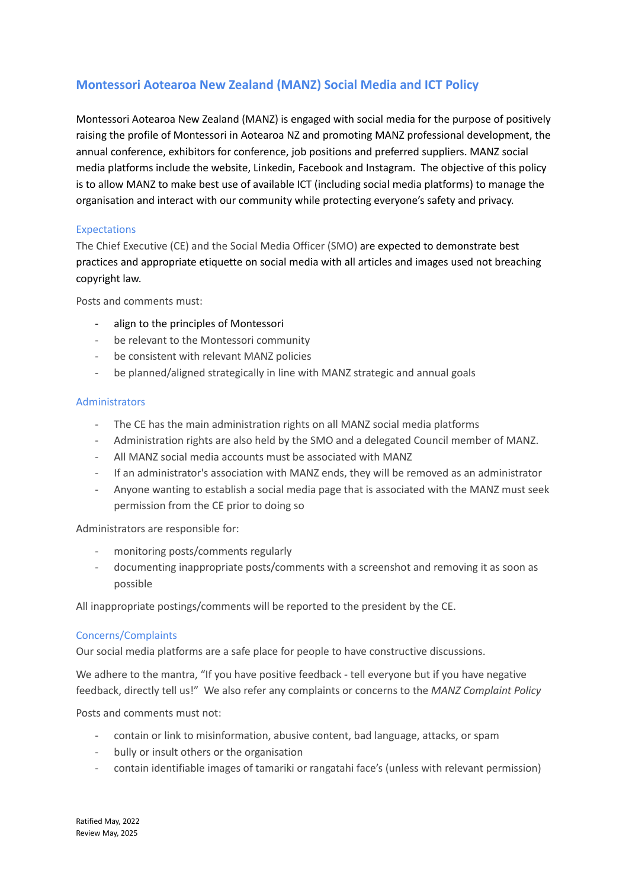# **Montessori Aotearoa New Zealand (MANZ) Social Media and ICT Policy**

Montessori Aotearoa New Zealand (MANZ) is engaged with social media for the purpose of positively raising the profile of Montessori in Aotearoa NZ and promoting MANZ professional development, the annual conference, exhibitors for conference, job positions and preferred suppliers. MANZ social media platforms include the website, Linkedin, Facebook and Instagram. The objective of this policy is to allow MANZ to make best use of available ICT (including social media platforms) to manage the organisation and interact with our community while protecting everyone's safety and privacy.

# Expectations

The Chief Executive (CE) and the Social Media Officer (SMO) are expected to demonstrate best practices and appropriate etiquette on social media with all articles and images used not breaching copyright law.

Posts and comments must:

- align to the principles of Montessori
- be relevant to the Montessori community
- be consistent with relevant MANZ policies
- be planned/aligned strategically in line with MANZ strategic and annual goals

### **Administrators**

- The CE has the main administration rights on all MANZ social media platforms
- Administration rights are also held by the SMO and a delegated Council member of MANZ.
- All MANZ social media accounts must be associated with MANZ
- If an administrator's association with MANZ ends, they will be removed as an administrator
- Anyone wanting to establish a social media page that is associated with the MANZ must seek permission from the CE prior to doing so

Administrators are responsible for:

- monitoring posts/comments regularly
- documenting inappropriate posts/comments with a screenshot and removing it as soon as possible

All inappropriate postings/comments will be reported to the president by the CE.

### Concerns/Complaints

Our social media platforms are a safe place for people to have constructive discussions.

We adhere to the mantra, "If you have positive feedback - tell everyone but if you have negative feedback, directly tell us!" We also refer any complaints or concerns to the *MANZ Complaint Policy*

Posts and comments must not:

- contain or link to misinformation, abusive content, bad language, attacks, or spam
- bully or insult others or the organisation
- contain identifiable images of tamariki or rangatahi face's (unless with relevant permission)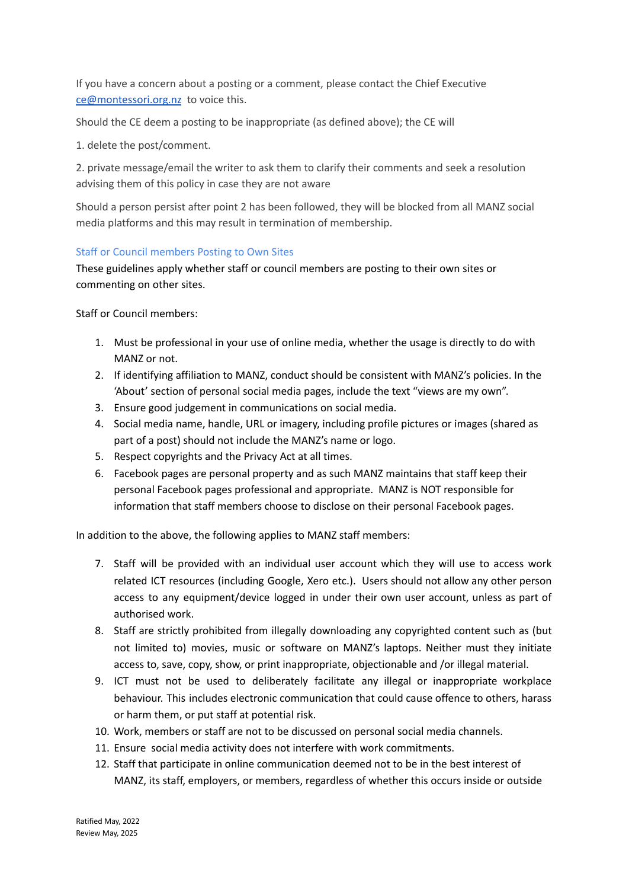If you have a concern about a posting or a comment, please contact the Chief Executive [ce@montessori.org.nz](mailto:ce@montessori.org.nz) to voice this.

Should the CE deem a posting to be inappropriate (as defined above); the CE will

1. delete the post/comment.

2. private message/email the writer to ask them to clarify their comments and seek a resolution advising them of this policy in case they are not aware

Should a person persist after point 2 has been followed, they will be blocked from all MANZ social media platforms and this may result in termination of membership.

# Staff or Council members Posting to Own Sites

These guidelines apply whether staff or council members are posting to their own sites or commenting on other sites.

Staff or Council members:

- 1. Must be professional in your use of online media, whether the usage is directly to do with MANZ or not.
- 2. If identifying affiliation to MANZ, conduct should be consistent with MANZ's policies. In the 'About' section of personal social media pages, include the text "views are my own".
- 3. Ensure good judgement in communications on social media.
- 4. Social media name, handle, URL or imagery, including profile pictures or images (shared as part of a post) should not include the MANZ's name or logo.
- 5. Respect copyrights and the Privacy Act at all times.
- 6. Facebook pages are personal property and as such MANZ maintains that staff keep their personal Facebook pages professional and appropriate. MANZ is NOT responsible for information that staff members choose to disclose on their personal Facebook pages.

In addition to the above, the following applies to MANZ staff members:

- 7. Staff will be provided with an individual user account which they will use to access work related ICT resources (including Google, Xero etc.). Users should not allow any other person access to any equipment/device logged in under their own user account, unless as part of authorised work.
- 8. Staff are strictly prohibited from illegally downloading any copyrighted content such as (but not limited to) movies, music or software on MANZ's laptops. Neither must they initiate access to, save, copy, show, or print inappropriate, objectionable and /or illegal material.
- 9. ICT must not be used to deliberately facilitate any illegal or inappropriate workplace behaviour. This includes electronic communication that could cause offence to others, harass or harm them, or put staff at potential risk.
- 10. Work, members or staff are not to be discussed on personal social media channels.
- 11. Ensure social media activity does not interfere with work commitments.
- 12. Staff that participate in online communication deemed not to be in the best interest of MANZ, its staff, employers, or members, regardless of whether this occurs inside or outside